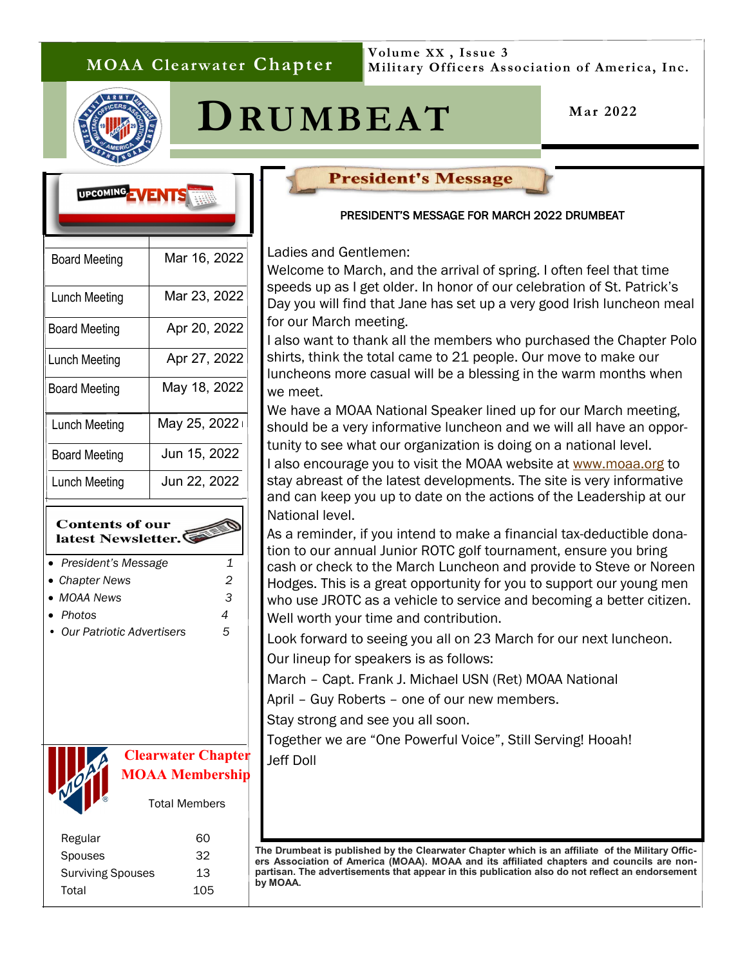## **MOAA Clearwater Chapter**

**Volume XX , Issue 3 Military Officers Association of America, Inc.**





. 

> I I

**Mar 2022**

# UPCOMING JVENTS Board Meeting | Mar 16, 2022 Lunch Meeting | Mar 23, 2022 Board Meeting | Apr 20, 2022 Lunch Meeting | Apr 27, 2022 Board Meeting | May 18, 2022 Lunch Meeting  $\parallel$  May 25, 2022 Board Meeting Jun 15, 2022 Lunch Meeting Jun 22, 2022

#### **Contents of our** latest Newsletter.

- *President's Message 1*
- *Chapter News 2*
- *MOAA News 3*
- *Photos 4*
- *Our Patriotic Advertisers 5*



## **Clearwater Chapter MOAA Membership**

Total Members

| Regular                  | റെ  |
|--------------------------|-----|
| <b>Spouses</b>           | 32  |
| <b>Surviving Spouses</b> | 13  |
| Total                    | 105 |
|                          |     |

### **President's Message**

#### PRESIDENT'S MESSAGE FOR MARCH 2022 DRUMBEAT

Ladies and Gentlemen:

Welcome to March, and the arrival of spring. I often feel that time speeds up as I get older. In honor of our celebration of St. Patrick's Day you will find that Jane has set up a very good Irish luncheon meal for our March meeting. A big thanks to Navy Captain (Ret) in the Navy Captain (Ret) our March meeting. Jim Facinelli, Senior Naval Science Instructor, Dunedin HS JROTC and Cadet Law-

I also want to thank all the members who purchased the Chapter Polo shirts, think the total came to 21 people. Our move to make our luncheons more casual will be a blessing in the warm months when we meet.

Reminder: Our luncheon program will restart on September 28th. Be on the look-We have a MOAA National Speaker lined up for our March meeting, should be a very informative luncheon and we will all have an oppor-

tunity to see what our organization is doing on a national level. I also encourage you to visit the MOAA website at [www.moaa.org](http://www.moaa.org) to stay abreast of the latest developments. The site is very informative 3400 was readed for our character for our charges fund that supports both Clearwater and Dunand can keep you up to date on the actions of the Leadership at our to Jim Patrick for leading the leading this effort, and Norm Belson, Bob Belson, Bob Belson, Bob Belson, Bob Belson, Bob Belson, Bob Belson, Bob Belson, Bob Belson, Bob Belson, Bob Belson, Bob Belson, Bob Belson, Bob Belso

As a reminder, if you intend to make a financial tax-deductible donation to our annual Junior ROTC golf tournament, ensure you bring cash or check to the March Luncheon and provide to Steve or Noreen and to your return to your return the board will continue to meet of the board will continue to meet monthly continued with the board will continue to the board with the board will continue to the board with the state of t Hodges. This is a great opportunity for you to support our young men who use JROTC as a vehicle to service and becoming a better citizen. Well worth your time and contribution.

Look forward to seeing you all on 23 March for our next luncheon. Our lineup for speakers is as follows:

March – Capt. Frank J. Michael USN (Ret) MOAA National

April – Guy Roberts – one of our new members.

Stay strong and see you all soon.

Together we are "One Powerful Voice", Still Serving! Hooah! Jeff Doll

**The Drumbeat is published by the Clearwater Chapter which is an affiliate of the Military Officers Association of America (MOAA). MOAA and its affiliated chapters and councils are nonpartisan. The advertisements that appear in this publication also do not reflect an endorsement by MOAA.**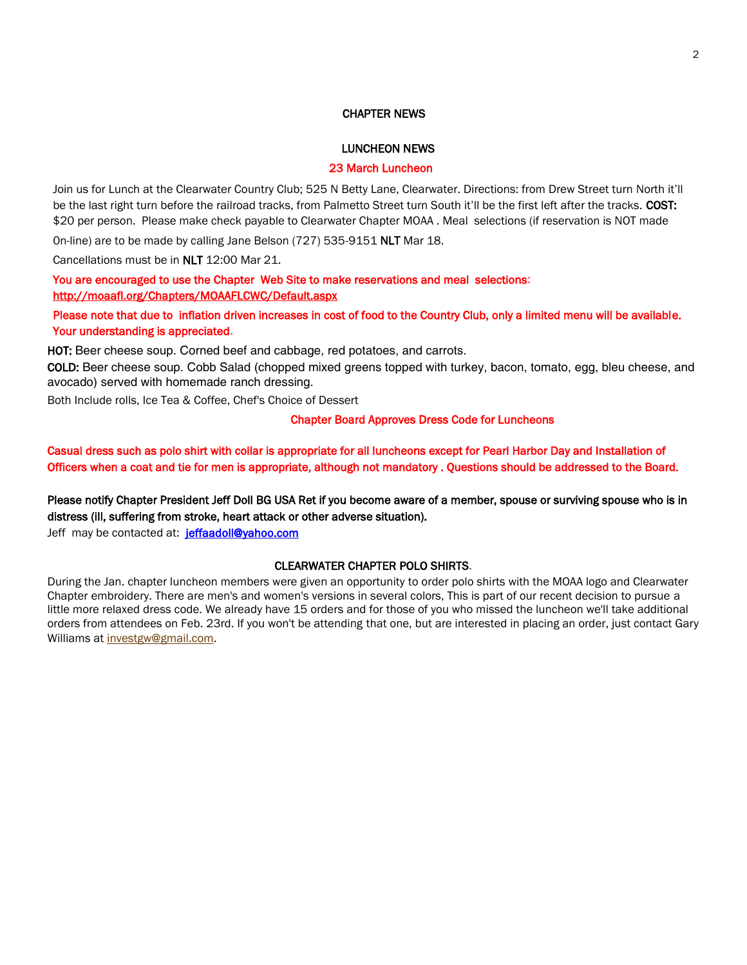#### CHAPTER NEWS

#### LUNCHEON NEWS

#### 23 March Luncheon

Join us for Lunch at the Clearwater Country Club; 525 N Betty Lane, Clearwater. Directions: from Drew Street turn North it'll be the last right turn before the railroad tracks, from Palmetto Street turn South it'll be the first left after the tracks. COST: \$20 per person. Please make check payable to Clearwater Chapter MOAA . Meal selections (if reservation is NOT made

0n-line) are to be made by calling Jane Belson (727) 535-9151 NLT Mar 18.

Cancellations must be in NLT 12:00 Mar 21.

You are encouraged to use the Chapter Web Site to make reservations and meal selections: <http://moaafl.org/Chapters/MOAAFLCWC/Default.aspx>

Please note that due to inflation driven increases in cost of food to the Country Club, only a limited menu will be available. Your understanding is appreciated.

HOT: Beer cheese soup. Corned beef and cabbage, red potatoes, and carrots.

COLD: Beer cheese soup. Cobb Salad (chopped mixed greens topped with turkey, bacon, tomato, egg, bleu cheese, and avocado) served with homemade ranch dressing.

Both Include rolls, Ice Tea & Coffee, Chef's Choice of Dessert

#### Chapter Board Approves Dress Code for Luncheons

Casual dress such as polo shirt with collar is appropriate for all luncheons except for Pearl Harbor Day and Installation of Officers when a coat and tie for men is appropriate, although not mandatory . Questions should be addressed to the Board.

Please notify Chapter President Jeff Doll BG USA Ret if you become aware of a member, spouse or surviving spouse who is in distress (ill, suffering from stroke, heart attack or other adverse situation).

Jeff may be contacted at: [jeffaadoll@yahoo.com](mailto:Jeff%20Doll%20%3cjeffaadoll@yahoo.com%3e)

#### CLEARWATER CHAPTER POLO SHIRTS.

During the Jan. chapter luncheon members were given an opportunity to order polo shirts with the MOAA logo and Clearwater Chapter embroidery. There are men's and women's versions in several colors, This is part of our recent decision to pursue a little more relaxed dress code. We already have 15 orders and for those of you who missed the luncheon we'll take additional orders from attendees on Feb. 23rd. If you won't be attending that one, but are interested in placing an order, just contact Gary Williams at [investgw@gmail.com.](mailto:investgw@gmail.com)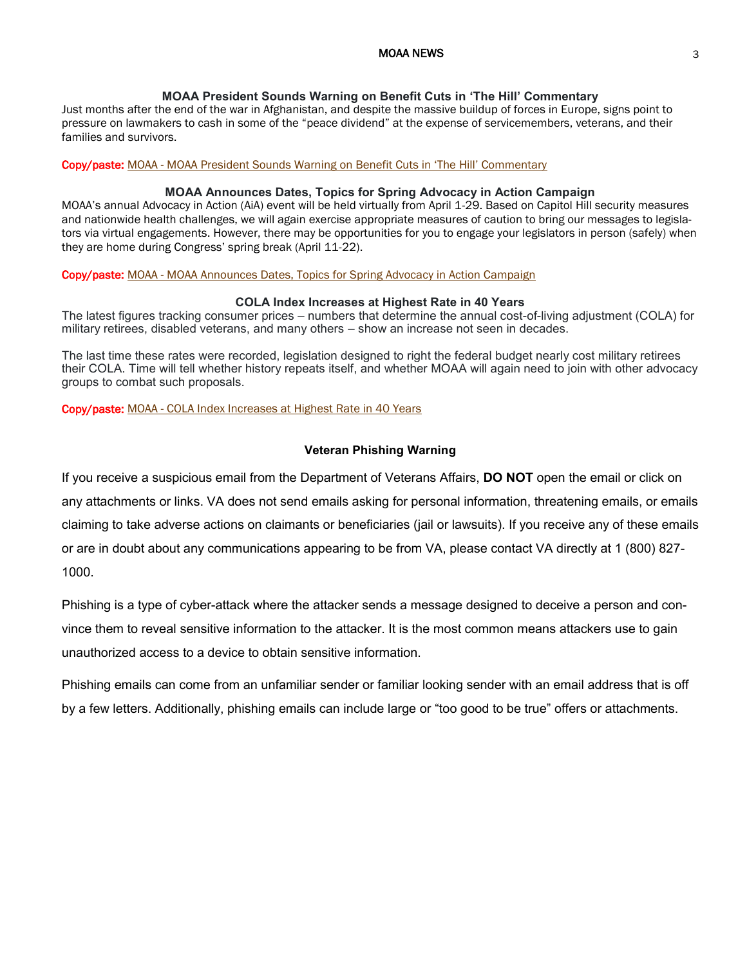#### MOAA NEWS 3

#### **MOAA President Sounds Warning on Benefit Cuts in 'The Hill' Commentary**

Just months after the end of the war in Afghanistan, and despite the massive buildup of forces in Europe, signs point to pressure on lawmakers to cash in some of the "peace dividend" at the expense of servicemembers, veterans, and their families and survivors.

#### Copy/paste: MOAA - [MOAA President Sounds Warning on Benefit Cuts in 'The Hill' Commentary](https://www.moaa.org/content/publications-and-media/news-articles/2022-news-articles/advocacy/moaa-president-sounds-warning-on-benefit-cuts-in-the-hill-commentary/?utm_source=newsletter&utm_medium=email&utm_campaign=TMNsend&utm_content=FL+ATFHSRM+2+Ret+B+NC)

#### **MOAA Announces Dates, Topics for Spring Advocacy in Action Campaign**

MOAA's annual Advocacy in Action (AiA) event will be held virtually from April 1-29. Based on Capitol Hill security measures and nationwide health challenges, we will again exercise appropriate measures of caution to bring our messages to legislators via virtual engagements. However, there may be opportunities for you to engage your legislators in person (safely) when they are home during Congress' spring break (April 11-22).

#### Copy/paste: MOAA - [MOAA Announces Dates, Topics for Spring Advocacy in Action Campaign](https://www.moaa.org/content/publications-and-media/news-articles/2022-news-articles/advocacy/moaa-announces-dates,-topics-for-spring-advocacy-in-action-campaign/?utm_source=newsletter&utm_medium=email&utm_campaign=TMNsend&utm_content=FL+ATFHSRM+2+Ret+B+NC)

#### **COLA Index Increases at Highest Rate in 40 Years**

The latest figures tracking consumer prices – numbers that determine the annual cost-of-living adjustment (COLA) for military retirees, disabled veterans, and many others – show an increase not seen in decades.

The last time these rates were recorded, legislation designed to right the federal budget nearly cost military retirees their COLA. Time will tell whether history repeats itself, and whether MOAA will again need to join with other advocacy groups to combat such proposals.

#### Copy/paste: MOAA - [COLA Index Increases at Highest Rate in 40 Years](https://www.moaa.org/content/publications-and-media/news-articles/2022-news-articles/cola-index-increases-at-highest-rate-in-40-years/?utm_source=newsletter&utm_medium=email&utm_campaign=TMNsend&utm_content=GA+FHRM+2+Ret+F+NC)

#### **Veteran Phishing Warning**

If you receive a suspicious email from the Department of Veterans Affairs, **DO NOT** open the email or click on any attachments or links. VA does not send emails asking for personal information, threatening emails, or emails claiming to take adverse actions on claimants or beneficiaries (jail or lawsuits). If you receive any of these emails or are in doubt about any communications appearing to be from VA, please contact VA directly at 1 (800) 827- 1000.

Phishing is a type of cyber-attack where the attacker sends a message designed to deceive a person and convince them to reveal sensitive information to the attacker. It is the most common means attackers use to gain unauthorized access to a device to obtain sensitive information.

Phishing emails can come from an unfamiliar sender or familiar looking sender with an email address that is off by a few letters. Additionally, phishing emails can include large or "too good to be true" offers or attachments.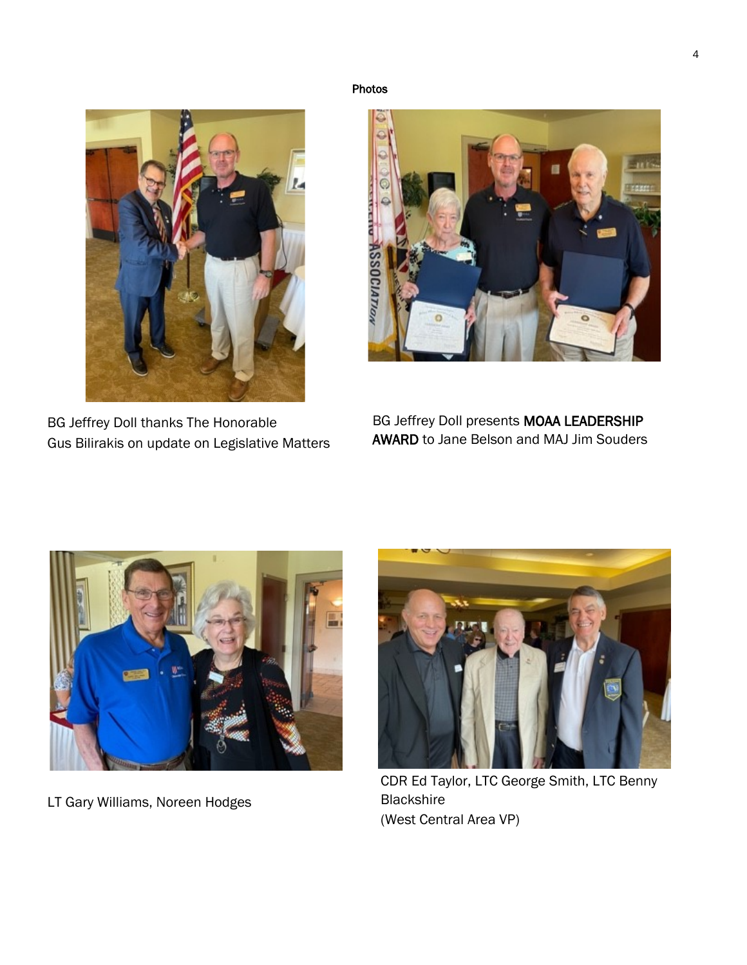Photos



BG Jeffrey Doll thanks The Honorable Gus Bilirakis on update on Legislative Matters



BG Jeffrey Doll presents MOAA LEADERSHIP AWARD to Jane Belson and MAJ Jim Souders



LT Gary Williams, Noreen Hodges



CDR Ed Taylor, LTC George Smith, LTC Benny **Blackshire** (West Central Area VP)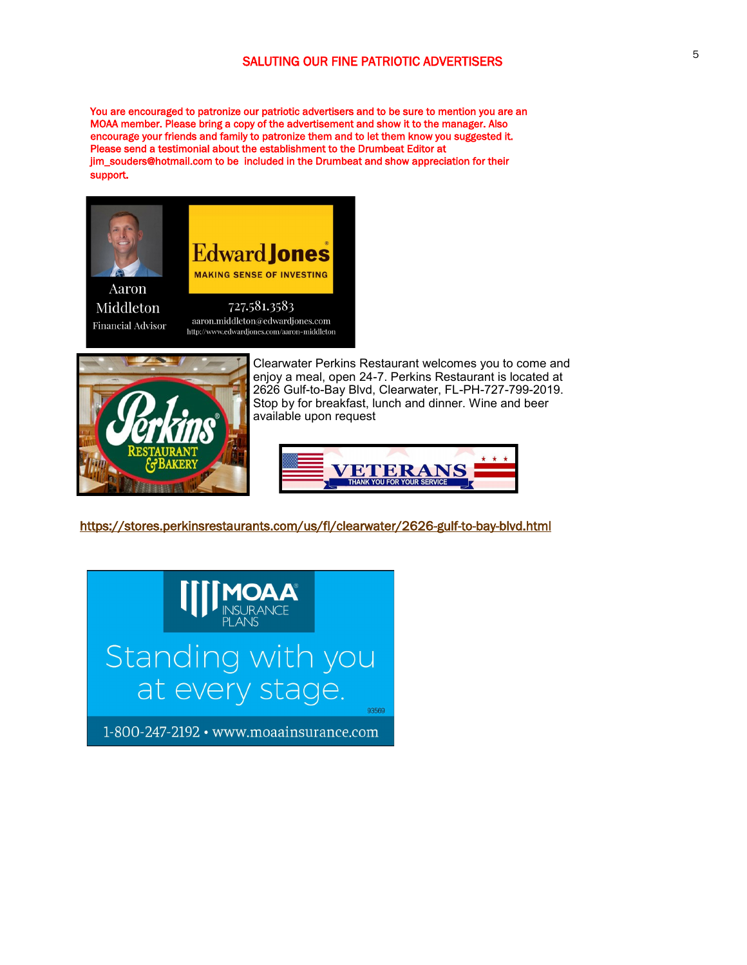You are encouraged to patronize our patriotic advertisers and to be sure to mention you are an MOAA member. Please bring a copy of the advertisement and show it to the manager. Also encourage your friends and family to patronize them and to let them know you suggested it. Please send a testimonial about the establishment to the Drumbeat Editor at jim\_souders@hotmail.com to be included in the Drumbeat and show appreciation for their support.



**Financial Advisor** 

aaron.middleton@edwardjones.com http://www.edwardjones.com/aaron-middleton



Clearwater Perkins Restaurant welcomes you to come and enjoy a meal, open 24-7. Perkins Restaurant is located at 2626 Gulf-to-Bay Blvd, Clearwater, FL-PH-727-799-2019. Stop by for breakfast, lunch and dinner. Wine and beer available upon request



<https://stores.perkinsrestaurants.com/us/fl/clearwater/2626-gulf-to-bay-blvd.html>



5